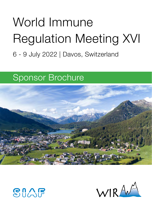# World Immune Regulation Meeting XVI

# 6 - 9 July 2022 | Davos, Switzerland

# Sponsor Brochure





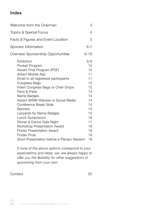# Index

| Welcome from the Chairman                                                                                                                                                                                                                                                                                                                                                                                                                                                                                             | 3                                                                                                                 |
|-----------------------------------------------------------------------------------------------------------------------------------------------------------------------------------------------------------------------------------------------------------------------------------------------------------------------------------------------------------------------------------------------------------------------------------------------------------------------------------------------------------------------|-------------------------------------------------------------------------------------------------------------------|
| Topics & Special Focus                                                                                                                                                                                                                                                                                                                                                                                                                                                                                                |                                                                                                                   |
| Facts & Figures and Event Location                                                                                                                                                                                                                                                                                                                                                                                                                                                                                    |                                                                                                                   |
| $6 - 7$<br>Sponsor Information                                                                                                                                                                                                                                                                                                                                                                                                                                                                                        |                                                                                                                   |
| Overview Sponsorship Opportunities                                                                                                                                                                                                                                                                                                                                                                                                                                                                                    | $8 - 19$                                                                                                          |
| <b>Fxhibition</b><br>Pocket Program<br>Advert Final Program (PDF)<br>Advert Mobile App<br>Email to all registered participants<br>Congress Bags<br>Insert Congress Bags or Chair Drops<br>Pens & Pads<br>Name Badges<br>Advert WIRM Website or Social Media<br>Conference Break Slide<br><b>Banners</b><br>Lanyards for Name Badges<br>Lunch Symposium<br>Dinner & Dance Gala Night<br>Workshop Presentation Award<br><b>Poster Presentation Award</b><br>Poster Prize<br>Short Presentation before a Plenary Session | $8-9$<br>10<br>10<br>11<br>11<br>12<br>12<br>13<br>13<br>14<br>14<br>15<br>15<br>16<br>17<br>18<br>18<br>19<br>19 |

*If none of the above options correspond to your expectations and ideas, we are always happy to offer you the flexibility for other suggestions of sponsoring from your own.*

#### Contact 20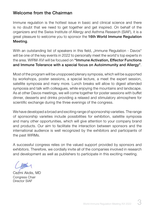#### Welcome from the Chairman

Immune regulation is the hottest issue in basic and clinical science and there is no doubt that we need to get together and get inspired. On behalf of the organizers and the Swiss Institute of Allergy and Asthma Research (SIAF), it is a great pleasure to welcome you to sponsor the 16th World Immune Regulation Meeting.

With an outstanding list of speakers in this field, "Immune Regulation - Davos" will be one of the key events in 2022 to personally meet the world's top experts in the area. WIRM-XVI will be focused on "Immune Activation, Effector Functions and Immune Tolerance with a special focus on Autoimmunity and Allergy".

Most of the program will be unopposed plenary symposia, which will be supported by workshops, poster sessions, a special lecture, a meet the expert session, satellite symposia and many more. Lunch breaks will allow to digest attended symposia and talk with colleagues, while enjoying the mountains and landscape. As at other Davos meetings, we will come together for poster sessions with buffet dinner, desserts and drinks providing a relaxed and stimulatory atmosphere for scientific exchange during the three evenings of the congress.

We have developed a broad and exciting range of sponsorship varieties. The range of sponsorship varieties include possibilities for exhibition, satellite symposia and many other opportunities, which will give attention to your company brand and products. Our aim to facilitate the interaction between sponsors and the international audience is well recognized by the exhibitors and participants of the past WIRMs.

A successful congress relies on the valued support provided by sponsors and exhibitors. Therefore, we cordially invite all of the companies involved in research and development as well as publishers to participate in this exciting meeting.

Cezmi Akdis, MD Congress Chair Director SIAF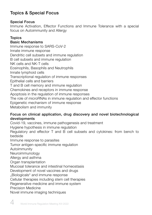# Topics & Special Focus

#### Special Focus

Immune Activation, Effector Functions and Immune Tolerance with a special focus on Autoimmunity and Allergy

#### **Topics**

#### Basic Mechanisms

Immune response to SARS-CoV-2 Innate immune response Dendritic cell subsets and immune regulation B cell subsets and immune regulation NK cells and NK-T cells Eosinophils, Basophils and Neutrophils Innate lymphoid cells Transcriptional regulation of immune responses Epithelial cells and barriers T and B cell memory and immune regulation Chemokines and receptors in immune response Apoptosis in the regulation of immune responses The role of microRNAs in immune regulation and effector functions Epigenetic mechanism of immune response Metabolism and immunity

#### Focus on clinical application, drug discovery and novel biotechnological developments

Covid-19, vaccines, immune pathogenesis and treatment Hygiene hypothesis in immune regulation Regulatory and effector T and B cell subsets and cytokines: from bench to bedside Immune response to parasites Tumor antigen-specific immune regulation Autoimmunity Neuroimmunology Allergy and asthma Organ transplantation Mucosal tolerance and intestinal homeostasis Development of novel vaccines and drugs "Biologicals" and immune response Cellular therapies including stem cell therapies Regenerative medicine and immune system Precision Medicine

Novel immune imaging techniques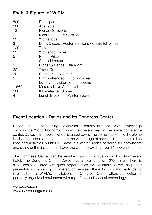#### Facts & Figures of WIRM

| 500<br>200<br>12 | Participants<br>Abstracts<br><b>Plenary Sessions</b> |
|------------------|------------------------------------------------------|
|                  | Meet the Expert Session                              |
| 12               | Workshops                                            |
| 3                | Dip & Discuss Poster Sessions with Buffet Dinner     |
| 120              | Talks                                                |
| 12               | Workshop Prizes                                      |
| 5                | Poster Prizes                                        |
|                  | Special Lecture                                      |
|                  | Dinner & Dance Gala Night                            |
| 30               | <b>Travel Grants</b>                                 |
| 30               | Sponsors   Exhibitors                                |
|                  | Highly attended Exhibition Area                      |
|                  | Lottery for visitors of the booths                   |
| 1'560            | Meters above Sea Level                               |
| 300              | Kilometer Ski Slopes                                 |
| 4                | Lunch Breaks for Winter Sports                       |

#### Event Location - Davos and its Congress Center

Davos has been stimulating not only for scientists, but also for other meetings such as the World Economic Forum, held every year in the same conference center. Davos is Europe's highest situated town. The combination of idyllic alpine landscape, urban atmosphere and the wide range of service, infrastructure, fine food and activities is unique. Davos is a winter-sports paradise for snowboard and skiing enthusiasts from all over the world, providing over 14'000 guest beds.

The Congress Center can be reached quickly by bus or on foot from every hotel. The Congress Center Davos has a total area of 12'000 m2. There is a big exhibition area with great opportunities for exhibitors as well as poster presentations. A very good interaction between the exhibitors and participants is a tradition at WIRMs. In addition, the Congress Center offers a selection of perfectly organized equipment with top of the audio visual technology.

www.davos.ch www.davoscongress.ch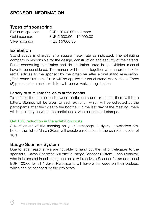# SPONSOR INFORMATION

#### Types of sponsoring

Silver sponsor: < EUR 5'000.00

Platinum sponsor: EUR 10'000.00 and more Gold sponsor: EUR 5'000.00 – 10'000.00

#### Exhibition

Stand space is charged at a square meter rate as indicated. The exhibiting company is responsible for the design, construction and security of their stand. Rules concerning installation and deinstallation listed in an exhibitor manual have to be considered. The manual will be sent together with an order link for rental articles to the sponsor by the organizer after a final stand reservation. "First-come-first-serve" rule will be applied for equal stand reservations. Three (3) persons from each exhibitor will receive waived registration.

#### Lottery to stimulate the visits at the booths

To enforce the interaction between participants and exhibitors there will be a lottery. Stamps will be given to each exhibitor, which will be collected by the participants after their visit to the booths. On the last day of the meeting, there will be a lottery between the participants, who collected all stamps.

#### Get 10% reduction in the exhibition costs

Advertisement of the meeting on your homepage, in flyers, newsletters etc. before the 1st of March 2022, will enable a reduction in the exhibition costs of 10%.

#### Badge Scanner System

Due to legal reasons, we are not able to hand out the list of delegates to the sponsors. Davos Congress will offer a Badge Scanner System. Each Exhibitor, who is interested in collecting contacts, will receive a Scanner for an additional EUR 100.00 for all 4 days. Participants will have a bar code on their badges, which can be scanned by the exhibitors.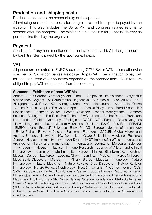#### Production and shipping costs

Production costs are the responsibility of the sponsor.

All shipping and customs costs for congress related transport is payed by the exhibitor. This also includes the Swiss VAT and congress related returns to sponsor after the congress. The exhibitor is responsible for punctual delivery as per deadline fixed by the organizer.

#### Payment

Conditions of payment mentioned on the invoice are valid. All charges incurred by bank transfer is payed by the sponsorlexhibitor.

## VAT

All prices are indicated in EUROS excluding 7,7% Swiss VAT, unless otherwise specified. All Swiss companies are obliged to pay VAT. The obligation to pay VAT for sponsors from other countries depends on the sponsor item. Exhibitors are obliged to pay VAT independent from their country.

#### Sponsors | Exhibitors of past WIRMs

Abcam - AbD Serotec MorphoSys AbD GmbH - AdipoGen Life Sciences - Affymetrix eBioscience - Agilent - AID Autoimmun Diagnostika - ALK-Abello - AllerGen NCE Inc. - Allergopharma J. Ganzer KG - Allergy Journal - Antibodies Journal - Antobodies Online - Attana Pharma - Applied Biosystems Applera - Ayoxxa Biosystems - Bardill Sport - BD Biosciences - Beckman Coulter - Becton Dickinson - Bender MedSystems - Bentham Science - BioLegend - Bio-Rad - Bio-Techne - BMG Labtech - Bucher Biotec - Bühlmann Laboratories - Cisbio - Company of Biologists - COST - C.T.L. Europe - Davos Congress - Davos Diagnostics - Davos Klosters Mountains - Diaclone - EAACI - Eau-là-là - EFIS/EJI - EMBO reports - Enzo Life Sciences - EnzymPro AG - European Journal of Immunology - Exbio Praha - FlowJow Celeza - Fluidigm - Frontiers - GA2LEN Global Allergy and Asthma European Network - 10x Genomics - Glaxo Smith Kline Medicines Research Centre - Hyglos - Immunity - Invitrogen Dynal - IMGT ImMunoGeneTics - International Archives of Allergy and Immunology - International Journal of Molecular Sciences - Invitrogen - InvivoGen - Jackson Immuno Research - Journal of Allergy and Clinical Immunology - Journal of Innate Immunity - Karger - Kinexus Bioinformatics - Kirchner Museum Davos - LabForce - Lucerna-Chem - Luminex - Mabtech - Merck Millipore - Meso Scale Discovery - Microsynth - Miltenyi Biotec - Mucosal Immunology - Nature Immunology - Nature Medicine - Nature Reviews Drug Discovery - Nature Reviews Immunology - Nature Reviews Nephrology - Nestlé - Novartis - Nycomed - Olink - OLS-OMNI Life Science - Pantec Biosolutions - Paarsenn Sports Davos - PeproTech - Perkin Elmer - Quanterix - Roche - Ruwag/Lonza - Science Immunology - Science Translational Medicine - Sino Biological - SNF Swiss National Science Foundation - SSAI - Stallergenes Greer - Stemcell Technologies - Stilli Park Residences - Swiss Industry Science Fund (SISF) - Swiss International Airlines - Technology Networks - The Company of Biologists - Thermo Fisher Scientific - Tissue Gnostics - Trends in Immunology - VWR International - Zellkraftwerk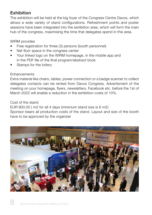# Exhibition

The exhibition will be held at the big foyer of the Congress Centre Davos, which allows a wide variety of stand configurations. Refreshment points and poster sessions have been integrated into the exhibition area, which will form the main hub of the congress, maximising the time that delegates spend in this area.

WIRM provides

- Free registration for three (3) persons (booth personnel)
- Net floor space in the congress center
- Your linked logo on the WIRM homepage, in the mobile app and in the PDF file of the final program/abstract book
- Stamps for the lottery

#### **Enhancements**

Extra material like chairs, tables, power connection or a badge scanner to collect delegates contacts can be rented from Davos Congress. Advertisment of the meeting on your homepage, flyers, newsletters, Facebook etc. before the 1st of March 2022 will enable a reduction in the exhibition costs of 10%.

Cost of the stand

EUR 900.00 | m2 for all 4 days (minimum stand size is 6 m2)

Sponsor bears all production costs of the stand. Layout and size of the booth have to be approved by the organizer

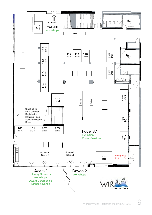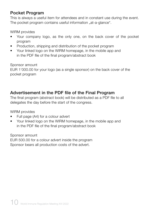#### Pocket Program

This is always a useful item for attendees and in constant use during the event. The pocket program contains useful information "at-a-glance".

WIRM provides

- Your company logo, as the only one, on the back cover of the pocket program
- Production, shipping and distribution of the pocket program
- Your linked logo on the WIRM homepage, in the mobile app and in the PDF file of the final program/abstract book

Sponsor amount

EUR 1'000.00 for your logo (as a single sponsor) on the back cover of the pocket program

## Advertisement in the PDF file of the Final Program

The final program (abstract book) will be distributed as a PDF file to all delegates the day before the start of the congress.

WIRM provides

- Full page (A4) for a colour advert
- Your linked logo on the WIRM homepage, in the mobile app and in the PDF file of the final program/abstract book

Sponsor amount EUR 500.00 for a colour advert inside the program Sponsor bears all production costs of the advert.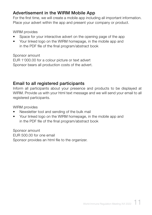## Advertisement in the WIRM Mobile App

For the first time, we will create a mobile app including all important information. Place your advert within the app and present your company or product.

WIRM provides

- Space for your interactive advert on the opening page of the app
- Your linked logo on the WIRM homepage, in the mobile app and in the PDF file of the final program/abstract book

Sponsor amount

EUR 1'000.00 for a colour picture or text advert Sponsor bears all production costs of the advert.

# Email to all registered participants

Inform all participants about your presence and products to be displayed at WIRM. Provide us with your html text message and we will send your email to all registered participants.

WIRM provides

- Newsletter tool and sending of the bulk mail
- Your linked logo on the WIRM homepage, in the mobile app and in the PDF file of the final program/abstract book

Sponsor amount EUR 500.00 for one email Sponsor provides an html file to the organizer.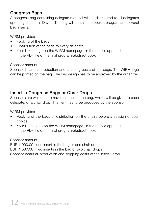# Congress Bags

A congress bag containing delegate material will be distributed to all delegates upon registration in Davos. The bag will contain the pocket program and several bag inserts.

WIRM provides

- Packing of the bags
- Distribution of the bags to every delegate
- Your linked logo on the WIRM homepage, in the mobile app and in the PDF file of the final program/abstract book

Sponsor amount

Sponsor bears all production and shipping costs of the bags. The WIRM logo can be printed on the bag. The bag design has to be approved by the organizer.

# Insert in Congress Bags or Chair Drops

Sponsors are welcome to have an insert in the bag, which will be given to each delegate, or a chair drop. The item has to be produced by the sponsor.

WIRM provides

- Packing of the bags or distribution on the chairs before a session of your choice
- Your linked logo on the WIRM homepage, in the mobile app and in the PDF file of the final program/abstract book

Sponsor amount

EUR 1'000.00 | one insert in the bag or one chair drop EUR 1'500.00 | two inserts in the bag or two chair drops Sponsor bears all production and shipping costs of the insert | drop.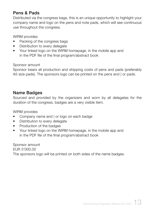## Pens & Pads

Distributed via the congress bags, this is an unique opportunity to highlight your company name and logo on the pens and note pads, which will see continuous use throughout the congress.

WIRM provides

- Packing of the congress bags
- Distribution to every delegate
- Your linked logo on the WIRM homepage, in the mobile app and in the PDF file of the final program/abstract book

Sponsor amount

Sponsor bears all production and shipping costs of pens and pads (preferably A5 size pads). The sponsors logo can be printed on the pens and | or pads.

#### Name Badges

Sourced and provided by the organizers and worn by all delegates for the duration of the congress, badges are a very visible item.

WIRM provides

- Company name and | or logo on each badge
- Distribution to every delegate
- Production of the badges
- Your linked logo on the WIRM homepage, in the mobile app and in the PDF file of the final program/abstract book

Sponsor amount EUR 3'000.00 The sponsors logo will be printed on both sides of the name badges.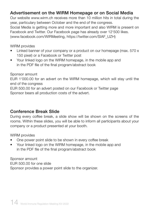# Advertisement on the WIRM Homepage or on Social Media

Our website www.wirm.ch receives more than 10 million hits in total during the year, particulary between October and the end of the congress. Social Media is getting more and more important and also WIRM is present on Facebook and Twitter. Our Facebook page has already over 12'500 likes. (www.facebook.com/WIRMeeting, https://twitter.com/SIAF\_UZH)

WIRM provides

- Linked banner of your company or a product on our homepage (max. 570 x 150 pixel) or a Facebook or Twitter post
- Your linked logo on the WIRM homepage, in the mobile app and in the PDF file of the final program/abstract book

Sponsor amount

EUR 1'000.00 for an advert on the WIRM homepage, which will stay until the end of the congress

EUR 500.00 for an advert posted on our Facebook or Twitter page Sponsor bears all production costs of the advert.

#### Conference Break Slide

During every coffee break, a slide show will be shown on the screens of the rooms. Within these slides, you will be able to inform all participants about your company or a product presented at your booth.

WIRM provides

- One power point slide to be shown in every coffee break
- Your linked logo on the WIRM homepage, in the mobile app and in the PDF file of the final program/abstract book

Sponsor amount EUR 500.00 for one slide Sponsor provides a power point slide to the organizer.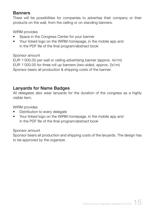#### **Banners**

There will be possibilities for companies to advertise their company or their products on the wall, from the ceiling or on standing banners.

WIRM provides

- Space in the Congress Center for your banner
- Your linked logo on the WIRM homepage, in the mobile app and in the PDF file of the final program/abstract book

#### Sponsor amount

EUR 1'000.00 per wall or ceiling advertising banner (approx. 4x1m) EUR 1'000.00 for three roll up banners (two-sided, approx. 2x1m) Sponsor bears all production & shipping costs of the banner.

#### Lanyards for Name Badges

All delegates also wear lanyards for the duration of the congress as a highly visible item.

WIRM provides

- Distribution to every delegate
- Your linked logo on the WIRM homepage, in the mobile app and in the PDF file of the final program/abstract book

#### Sponsor amount

Sponsor bears all production and shipping costs of the lanyards. The design has to be approved by the organizer.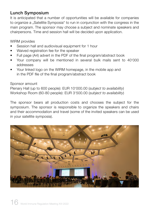# Lunch Symposium

It is anticipated that a number of opportunities will be available for companies to organize a "Satellite Symposia" to run in conjunction with the congress in the main program. The sponsor may choose a subject and nominate speakers and chairpersons. Time and session hall will be decided upon application.

WIRM provides

- Session hall and audiovisual equipment for 1 hour
- Waived registration fee for the speaker
- Full page (A4) advert in the PDF of the final program/abstract book
- Your company will be mentioned in several bulk mails sent to 40'000 addresses
- Your linked logo on the WIRM homepage, in the mobile app and in the PDF file of the final program/abstract book

Sponsor amount

Plenary Hall (up to 600 people): EUR 10'000.00 (*subject to availability*) Workshop Room (60-80 people): EUR 3'500.00 (*subject to availability*)

The sponsor bears all production costs and chooses the subject for the symposium. The sponsor is responsible to organize the speakers and chairs and their accommodation and travel (some of the invited speakers can be used in your satellite symposia).

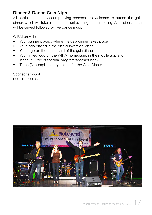# Dinner & Dance Gala Night

All participants and accompanying persons are welcome to attend the gala dinner, which will take place on the last evening of the meeting. A delicious menu will be served followed by live dance music.

WIRM provides

- Your banner placed, where the gala dinner takes place
- Your logo placed in the official invitation letter
- Your logo on the menu card of the gala dinner
- Your linked logo on the WIRM homepage, in the mobile app and in the PDF file of the final program/abstract book
- Three (3) complimentary tickets for the Gala Dinner

Sponsor amount EUR 10'000.00

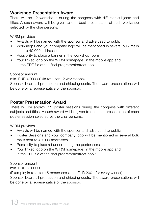## Workshop Presentation Award

There will be 12 workshops during the congress with different subjects and titles. A cash award will be given to one best presentation of each workshop selected by the chairpersons.

WIRM provides

- Awards will be named with the sponsor and advertised to public
- Workshops and your company logo will be mentioned in several bulk mails sent to 40'000 addresses
- Possibility to place a banner in the workshop room
- Your linked logo on the WIRM homepage, in the mobile app and in the PDF file of the final program/abstract book

Sponsor amount

min. EUR 4'000.00 (in total for 12 workshops)

Sponsor bears all production and shipping costs. The award presentations will be done by a representative of the sponsor.

# Poster Presentation Award

There will be approx. 15 poster sessions during the congress with different subjects and titles. A cash award will be given to one best presentation of each poster session selected by the chairpersons.

WIRM provides

- Awards will be named with the sponsor and advertised to public
- Poster Sessions and your company logo will be mentioned in several bulk mails sent to 40'000 addresses
- Possibility to place a banner during the poster sessions
- Your linked logo on the WIRM homepage, in the mobile app and in the PDF file of the final program/abstract book

Sponsor amount

min. EUR 3'000.00

(Example; in total for 15 poster sessions, EUR 200.- for every winner) Sponsor bears all production and shipping costs. The award presentations will be done by a representative of the sponsor.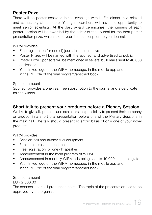#### Poster Prize

There will be poster sessions in the evenings with buffet dinner in a relaxed and stimulatory atmosphere. Young researchers will have the opportunity to meet senior scientists. At the daily award ceremonies, the winners of each poster session will be awarded by the editor of the Journal for the best poster presentation prize, which is one year free subscription to your journal.

WIRM provides

- Free registration for one (1) journal representative
- Poster Prizes will be named with the sponsor and advertised to public
- Poster Prize Sponsors will be mentioned in several bulk mails sent to 40'000 addresses
- Your linked logo on the WIRM homepage, in the mobile app and in the PDF file of the final program/abstract book

Sponsor amount

Sponsor provides a one year free subscription to the journal and a certificate for the winner.

#### Short talk to present your products before a Plenary Session

We like to give all sponsors and exhibitors the possibility to present their company or product in a short oral presentation before one of the Plenary Sessions in the main hall. The talk should present scientific basis of only one of your novel products.

WIRM provides

- Session hall and audiovisual equipment
- 5 minutes presentation time
- Free registration for one (1) speaker
- Announcement in the main program of WIRM
- Announcement in monthly WIRM ads being sent to 40'000 immunologists
- Your linked logo on the WIRM homepage, in the mobile app and in the PDF file of the final program/abstract book

Sponsor amount EUR 2'500.00

The sponsor bears all production costs. The topic of the presentation has to be approved by the organizer.